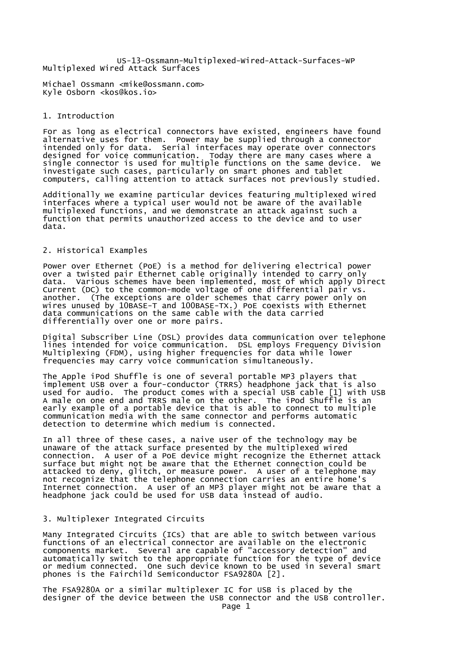US-13-Ossmann-Multiplexed-Wired-Attack-Surfaces-WP Multiplexed Wired Attack Surfaces

Michael Ossmann <mike@ossmann.com> Kyle Osborn <kos@kos.io>

## 1. Introduction

For as long as electrical connectors have existed, engineers have found alternative uses for them. Power may be supplied through a connector intended only for data. Serial interfaces may operate over connectors designed for voice communication. Today there are many cases where a single connector is used for multiple functions on the same device. We investigate such cases, particularly on smart phones and tablet computers, calling attention to attack surfaces not previously studied.

Additionally we examine particular devices featuring multiplexed wired interfaces where a typical user would not be aware of the available multiplexed functions, and we demonstrate an attack against such a function that permits unauthorized access to the device and to user data.

## 2. Historical Examples

Power over Ethernet (PoE) is a method for delivering electrical power over a twisted pair Ethernet cable originally intended to carry only data. Various schemes have been implemented, most of which apply Direct Current (DC) to the common-mode voltage of one differential pair vs. another. (The exceptions are older schemes that carry power only on wires unused by 10BASE-T and 100BASE-TX.) PoE coexists with Ethernet data communications on the same cable with the data carried differentially over one or more pairs.

Digital Subscriber Line (DSL) provides data communication over telephone lines intended for voice communication. DSL employs Frequency Division Multiplexing (FDM), using higher frequencies for data while lower frequencies may carry voice communication simultaneously.

The Apple iPod Shuffle is one of several portable MP3 players that implement USB over a four-conductor (TRRS) headphone jack that is also used for audio. The product comes with a special USB cable [1] with USB A male on one end and TRRS male on the other. The iPod Shuffle is an early example of a portable device that is able to connect to multiple communication media with the same connector and performs automatic detection to determine which medium is connected.

In all three of these cases, a naive user of the technology may be unaware of the attack surface presented by the multiplexed wired connection. A user of a PoE device might recognize the Ethernet attack surface but might not be aware that the Ethernet connection could be attacked to deny, glitch, or measure power. A user of a telephone may not recognize that the telephone connection carries an entire home's Internet connection. A user of an MP3 player might not be aware that a headphone jack could be used for USB data instead of audio.

## 3. Multiplexer Integrated Circuits

Many Integrated Circuits (ICs) that are able to switch between various functions of an electrical connector are available on the electronic components market. Several are capable of "accessory detection" and automatically switch to the appropriate function for the type of device or medium connected. One such device known to be used in several smart phones is the Fairchild Semiconductor FSA9280A [2].

The FSA9280A or a similar multiplexer IC for USB is placed by the designer of the device between the USB connector and the USB controller.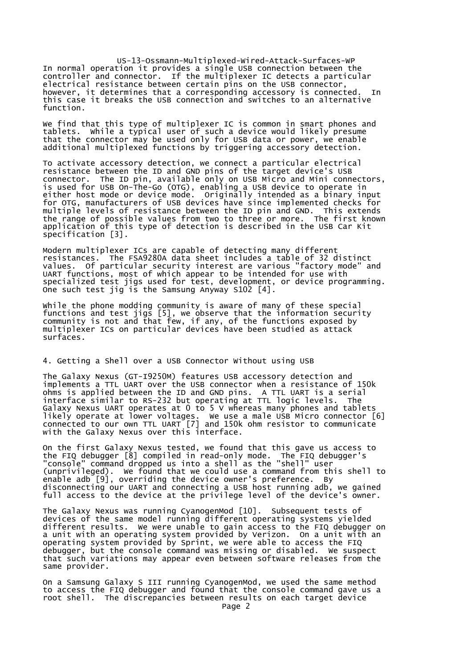US-13-Ossmann-Multiplexed-Wired-Attack-Surfaces-WP In normal operation it provides a single USB connection between the controller and connector. If the multiplexer IC detects a particular electrical resistance between certain pins on the USB connector, however, it determines that a corresponding accessory is connected. In this case it breaks the USB connection and switches to an alternative function.

We find that this type of multiplexer IC is common in smart phones and tablets. While a typical user of such a device would likely presume that the connector may be used only for USB data or power, we enable additional multiplexed functions by triggering accessory detection.

To activate accessory detection, we connect a particular electrical resistance between the ID and GND pins of the target device's USB connector. The ID pin, available only on USB Micro and Mini connectors, is used for USB On-The-Go (OTG), enabling a USB device to operate in either host mode or device mode. Originally intended as a binary input for OTG, manufacturers of USB devices have since implemented checks for multiple levels of resistance between the ID pin and GND. This extends the range of possible values from two to three or more. The first known application of this type of detection is described in the USB Car Kit specification [3].

Modern multiplexer ICs are capable of detecting many different resistances. The FSA9280A data sheet includes a table of 32 distinct values. Of particular security interest are various "factory mode" and UART functions, most of which appear to be intended for use with specialized test jigs used for test, development, or device programming. One such test jig is the Samsung Anyway S102 [4].

While the phone modding community is aware of many of these special functions and test jigs [5], we observe that the information security community is not and that few, if any, of the functions exposed by multiplexer ICs on particular devices have been studied as attack surfaces.

## 4. Getting a Shell over a USB Connector Without using USB

The Galaxy Nexus (GT-I9250M) features USB accessory detection and implements a TTL UART over the USB connector when a resistance of 150k ohms is applied between the ID and GND pins. A TTL UART is a serial interface similar to RS-232 but operating at TTL logic levels. The Galaxy Nexus UART operates at 0 to 5 V whereas many phones and tablets likely operate at lower voltages. We use a male USB Micro connector [6] connected to our own TTL UART [7] and 150k ohm resistor to communicate with the Galaxy Nexus over this interface.

On the first Galaxy Nexus tested, we found that this gave us access to the FIQ debugger [8] compiled in read-only mode. The FIQ debugger's "console" command dropped us into a shell as the "shell" user (unprivileged). We found that we could use a command from this shell to enable adb [9], overriding the device owner's preference. By disconnecting our UART and connecting a USB host running adb, we gained full access to the device at the privilege level of the device's owner.

The Galaxy Nexus was running CyanogenMod [10]. Subsequent tests of devices of the same model running different operating systems yielded different results. We were unable to gain access to the FIQ debugger on a unit with an operating system provided by Verizon. On a unit with an operating system provided by Sprint, we were able to access the FIQ debugger, but the console command was missing or disabled. We suspect that such variations may appear even between software releases from the same provider.

On a Samsung Galaxy S III running CyanogenMod, we used the same method to access the FIQ debugger and found that the console command gave us a root shell. The discrepancies between results on each target device